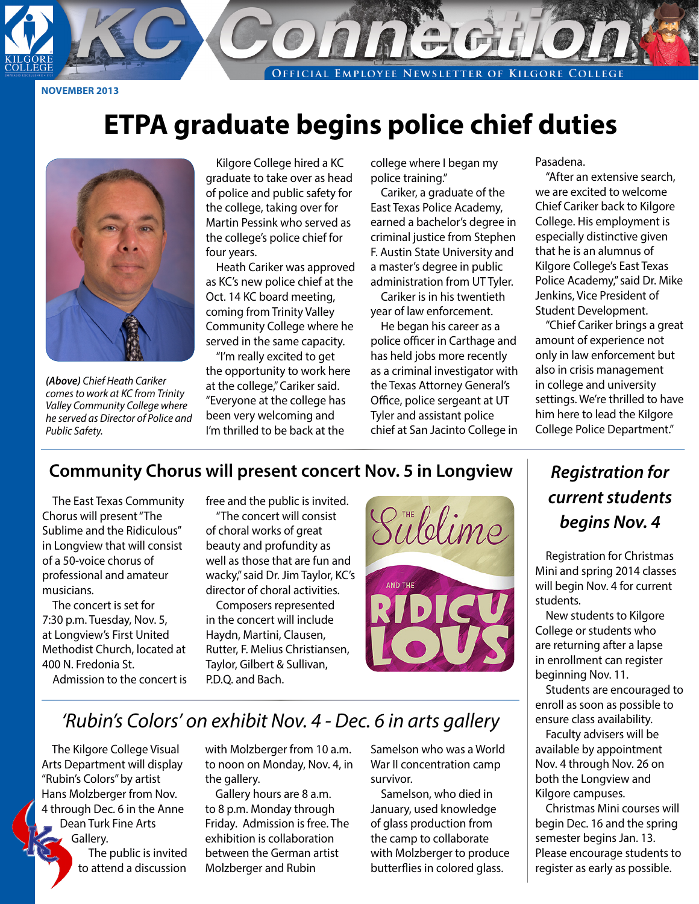**EMPLOYEE NEWSLETTER OF KILGORE COLLEGE** OFFICIAL

**NOVEMBER 2013**

## **ETPA graduate begins police chief duties**



*(Above) Chief Heath Cariker comes to work at KC from Trinity Valley Community College where he served as Director of Police and Public Safety.*

Kilgore College hired a KC graduate to take over as head of police and public safety for the college, taking over for Martin Pessink who served as the college's police chief for four years.

Heath Cariker was approved as KC's new police chief at the Oct. 14 KC board meeting, coming from Trinity Valley Community College where he served in the same capacity.

"I'm really excited to get the opportunity to work here at the college," Cariker said. "Everyone at the college has been very welcoming and I'm thrilled to be back at the

college where I began my police training."

Cariker, a graduate of the East Texas Police Academy, earned a bachelor's degree in criminal justice from Stephen F. Austin State University and a master's degree in public administration from UT Tyler. Cariker is in his twentieth

year of law enforcement.

He began his career as a police officer in Carthage and has held jobs more recently as a criminal investigator with the Texas Attorney General's Office, police sergeant at UT Tyler and assistant police chief at San Jacinto College in Pasadena.

"After an extensive search, we are excited to welcome Chief Cariker back to Kilgore College. His employment is especially distinctive given that he is an alumnus of Kilgore College's East Texas Police Academy," said Dr. Mike Jenkins, Vice President of Student Development.

"Chief Cariker brings a great amount of experience not only in law enforcement but also in crisis management in college and university settings. We're thrilled to have him here to lead the Kilgore College Police Department."

#### **Community Chorus will present concert Nov. 5 in Longview**

The East Texas Community Chorus will present "The Sublime and the Ridiculous" in Longview that will consist of a 50-voice chorus of professional and amateur musicians.

The concert is set for 7:30 p.m. Tuesday, Nov. 5, at Longview's First United Methodist Church, located at 400 N. Fredonia St.

Admission to the concert is

free and the public is invited. "The concert will consist

of choral works of great beauty and profundity as well as those that are fun and wacky," said Dr. Jim Taylor, KC's director of choral activities.

Composers represented in the concert will include Haydn, Martini, Clausen, Rutter, F. Melius Christiansen, Taylor, Gilbert & Sullivan, P.D.Q. and Bach.



## *Registration for current students begins Nov. 4*

Registration for Christmas Mini and spring 2014 classes will begin Nov. 4 for current students.

New students to Kilgore College or students who are returning after a lapse in enrollment can register beginning Nov. 11.

Students are encouraged to enroll as soon as possible to ensure class availability.

Faculty advisers will be available by appointment Nov. 4 through Nov. 26 on both the Longview and Kilgore campuses.

Christmas Mini courses will begin Dec. 16 and the spring semester begins Jan. 13. Please encourage students to register as early as possible.

### *'Rubin's Colors' on exhibit Nov. 4 - Dec. 6 in arts gallery*

The Kilgore College Visual Arts Department will display "Rubin's Colors" by artist Hans Molzberger from Nov. 4 through Dec. 6 in the Anne Dean Turk Fine Arts Gallery. The public is invited to attend a discussion

with Molzberger from 10 a.m. to noon on Monday, Nov. 4, in the gallery.

Gallery hours are 8 a.m. to 8 p.m. Monday through Friday. Admission is free. The exhibition is collaboration between the German artist Molzberger and Rubin

Samelson who was a World War II concentration camp survivor.

Samelson, who died in January, used knowledge of glass production from the camp to collaborate with Molzberger to produce butterflies in colored glass.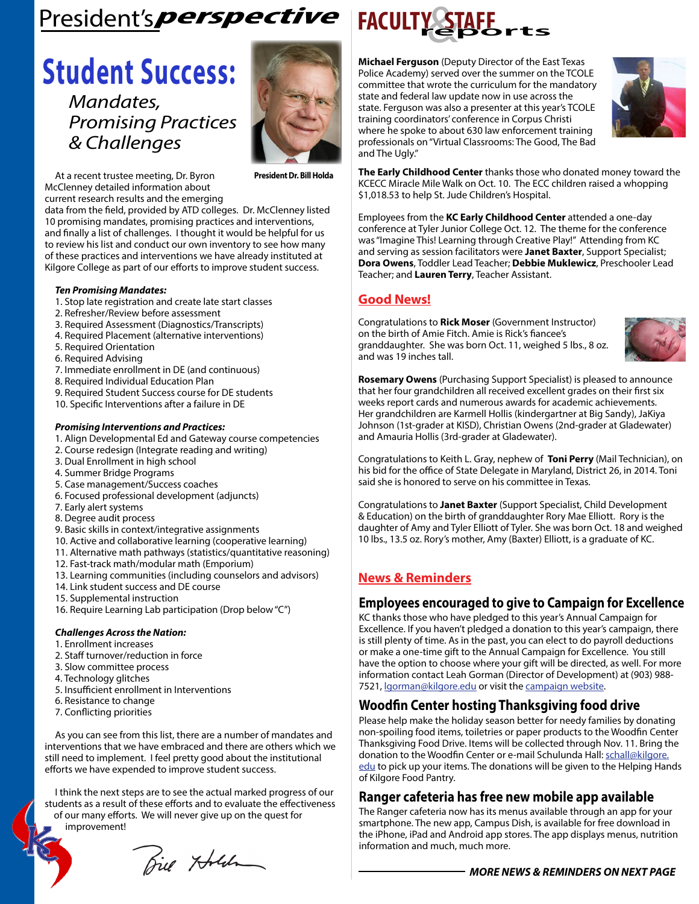## $Precision's *perspective*$  **FACULTY**

## **Student Success:**

*Mandates, Promising Practices & Challenges*



At a recent trustee meeting, Dr. Byron McClenney detailed information about current research results and the emerging

data from the field, provided by ATD colleges. Dr. McClenney listed 10 promising mandates, promising practices and interventions, and finally a list of challenges. I thought it would be helpful for us to review his list and conduct our own inventory to see how many of these practices and interventions we have already instituted at Kilgore College as part of our efforts to improve student success.

#### *Ten Promising Mandates:*

- 1. Stop late registration and create late start classes
- 2. Refresher/Review before assessment
- 3. Required Assessment (Diagnostics/Transcripts)
- 4. Required Placement (alternative interventions)
- 5. Required Orientation
- 6. Required Advising
- 7. Immediate enrollment in DE (and continuous)
- 8. Required Individual Education Plan
- 9. Required Student Success course for DE students
- 10. Specific Interventions after a failure in DE

#### *Promising Interventions and Practices:*

- 1. Align Developmental Ed and Gateway course competencies
- 2. Course redesign (Integrate reading and writing)
- 3. Dual Enrollment in high school
- 4. Summer Bridge Programs
- 5. Case management/Success coaches
- 6. Focused professional development (adjuncts)
- 7. Early alert systems
- 8. Degree audit process
- 9. Basic skills in context/integrative assignments
- 10. Active and collaborative learning (cooperative learning)
- 11. Alternative math pathways (statistics/quantitative reasoning)
- 12. Fast-track math/modular math (Emporium)
- 13. Learning communities (including counselors and advisors)
- 14. Link student success and DE course
- 15. Supplemental instruction
- 16. Require Learning Lab participation (Drop below "C")

#### *Challenges Across the Nation:*

- 1. Enrollment increases
- 2. Staff turnover/reduction in force
- 3. Slow committee process
- 4. Technology glitches
- 5. Insufficient enrollment in Interventions
- 6. Resistance to change
- 7. Conflicting priorities

As you can see from this list, there are a number of mandates and interventions that we have embraced and there are others which we still need to implement. I feel pretty good about the institutional efforts we have expended to improve student success.

I think the next steps are to see the actual marked progress of our students as a result of these efforts and to evaluate the effectiveness of our many efforts. We will never give up on the quest for

improvement!

Bie Holden



**Michael Ferguson** (Deputy Director of the East Texas Police Academy) served over the summer on the TCOLE committee that wrote the curriculum for the mandatory state and federal law update now in use across the state. Ferguson was also a presenter at this year's TCOLE training coordinators' conference in Corpus Christi where he spoke to about 630 law enforcement training professionals on "Virtual Classrooms: The Good, The Bad and The Ugly."



**The Early Childhood Center** thanks those who donated money toward the KCECC Miracle Mile Walk on Oct. 10. The ECC children raised a whopping \$1,018.53 to help St. Jude Children's Hospital.

Employees from the **KC Early Childhood Center** attended a one-day conference at Tyler Junior College Oct. 12. The theme for the conference was "Imagine This! Learning through Creative Play!" Attending from KC and serving as session facilitators were **Janet Baxter**, Support Specialist; **Dora Owens**, Toddler Lead Teacher; **Debbie Muklewicz**, Preschooler Lead Teacher; and **Lauren Terry**, Teacher Assistant.

#### **Good News!**

Congratulations to **Rick Moser** (Government Instructor) on the birth of Amie Fitch. Amie is Rick's fiancee's granddaughter. She was born Oct. 11, weighed 5 lbs., 8 oz. and was 19 inches tall.



**Rosemary Owens** (Purchasing Support Specialist) is pleased to announce that her four grandchildren all received excellent grades on their first six weeks report cards and numerous awards for academic achievements. Her grandchildren are Karmell Hollis (kindergartner at Big Sandy), JaKiya Johnson (1st-grader at KISD), Christian Owens (2nd-grader at Gladewater) and Amauria Hollis (3rd-grader at Gladewater).

Congratulations to Keith L. Gray, nephew of **Toni Perry** (Mail Technician), on his bid for the office of State Delegate in Maryland, District 26, in 2014. Toni said she is honored to serve on his committee in Texas.

Congratulations to **Janet Baxter** (Support Specialist, Child Development & Education) on the birth of granddaughter Rory Mae Elliott. Rory is the daughter of Amy and Tyler Elliott of Tyler. She was born Oct. 18 and weighed 10 lbs., 13.5 oz. Rory's mother, Amy (Baxter) Elliott, is a graduate of KC.

#### **News & Reminders**

#### **Employees encouraged to give to Campaign for Excellence**

KC thanks those who have pledged to this year's Annual Campaign for Excellence. If you haven't pledged a donation to this year's campaign, there is still plenty of time. As in the past, you can elect to do payroll deductions or make a one-time gift to the Annual Campaign for Excellence. You still have the option to choose where your gift will be directed, as well. For more information contact Leah Gorman (Director of Development) at (903) 988 7521, [lgorman@kilgore.edu](mailto:lgorman%40kilgore.edu?subject=Annual%20Campaign%20for%20Excellence) or visit the [campaign website](http://www.kilgore.edu/campaignforexcellence.asp).

#### **Woodfin Center hosting Thanksgiving food drive**

Please help make the holiday season better for needy families by donating non-spoiling food items, toiletries or paper products to the Woodfin Center Thanksgiving Food Drive. Items will be collected through Nov. 11. Bring the donation to the Woodfin Center or e-mail Schulunda Hall: [schall@kilgore.](mailto:schall%40kilgore.edu?subject=Thanksgiving%20Food%20Drive) [edu](mailto:schall%40kilgore.edu?subject=Thanksgiving%20Food%20Drive) to pick up your items. The donations will be given to the Helping Hands of Kilgore Food Pantry.

#### **Ranger cafeteria has free new mobile app available**

The Ranger cafeteria now has its menus available through an app for your smartphone. The new app, Campus Dish, is available for free download in the iPhone, iPad and Android app stores. The app displays menus, nutrition information and much, much more.